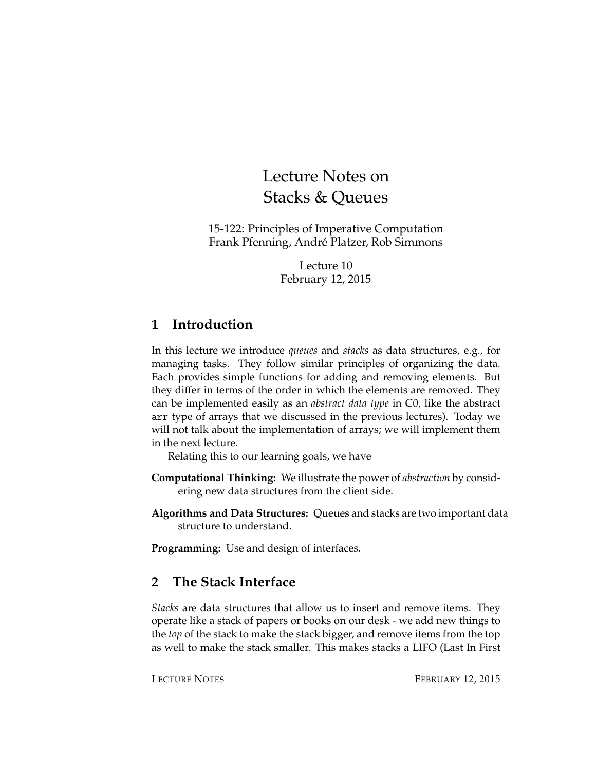# Lecture Notes on Stacks & Queues

15-122: Principles of Imperative Computation Frank Pfenning, André Platzer, Rob Simmons

> Lecture 10 February 12, 2015

## **1 Introduction**

In this lecture we introduce *queues* and *stacks* as data structures, e.g., for managing tasks. They follow similar principles of organizing the data. Each provides simple functions for adding and removing elements. But they differ in terms of the order in which the elements are removed. They can be implemented easily as an *abstract data type* in C0, like the abstract arr type of arrays that we discussed in the previous lectures). Today we will not talk about the implementation of arrays; we will implement them in the next lecture.

Relating this to our learning goals, we have

- **Computational Thinking:** We illustrate the power of *abstraction* by considering new data structures from the client side.
- **Algorithms and Data Structures:** Queues and stacks are two important data structure to understand.

**Programming:** Use and design of interfaces.

## **2 The Stack Interface**

*Stacks* are data structures that allow us to insert and remove items. They operate like a stack of papers or books on our desk - we add new things to the *top* of the stack to make the stack bigger, and remove items from the top as well to make the stack smaller. This makes stacks a LIFO (Last In First

LECTURE NOTES FEBRUARY 12, 2015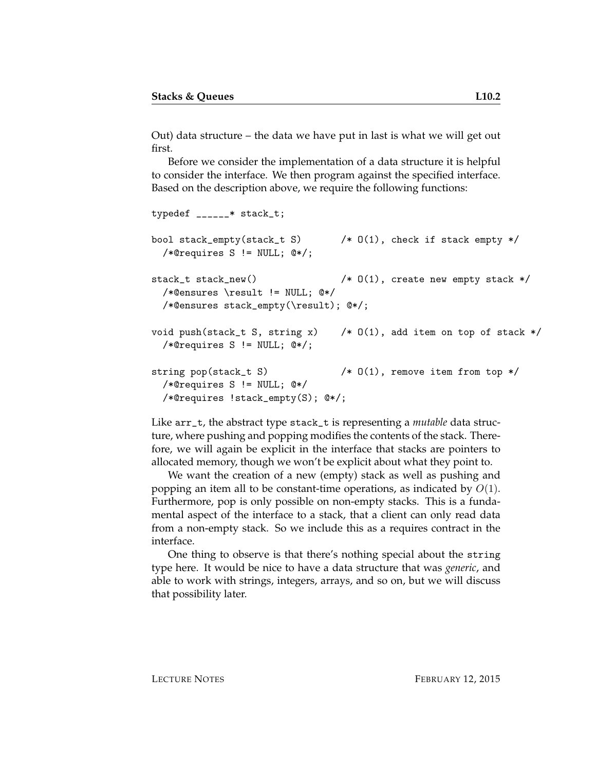Out) data structure – the data we have put in last is what we will get out first.

Before we consider the implementation of a data structure it is helpful to consider the interface. We then program against the specified interface. Based on the description above, we require the following functions:

```
typedef ______* stack_t;
bool stack_empty(stack_t S) /* O(1), check if stack empty */
 /*@requires S != NULL; @*/;
stack_t stack_new() \angle /* 0(1), create new empty stack */
  /*@ensures \result != NULL; @*/
 /*@ensures stack_empty(\result); @*/;
void push(stack_t S, string x) \rightarrow 0(1), add item on top of stack */
  /*@requires S != NULL; @*/;
string pop(stack_t S) \qquad /* 0(1), remove item from top */
 /*@requires S != NULL; @*/
 /*@requires !stack_empty(S); @*/;
```
Like arr\_t, the abstract type stack\_t is representing a *mutable* data structure, where pushing and popping modifies the contents of the stack. Therefore, we will again be explicit in the interface that stacks are pointers to allocated memory, though we won't be explicit about what they point to.

We want the creation of a new (empty) stack as well as pushing and popping an item all to be constant-time operations, as indicated by  $O(1)$ . Furthermore, pop is only possible on non-empty stacks. This is a fundamental aspect of the interface to a stack, that a client can only read data from a non-empty stack. So we include this as a requires contract in the interface.

One thing to observe is that there's nothing special about the string type here. It would be nice to have a data structure that was *generic*, and able to work with strings, integers, arrays, and so on, but we will discuss that possibility later.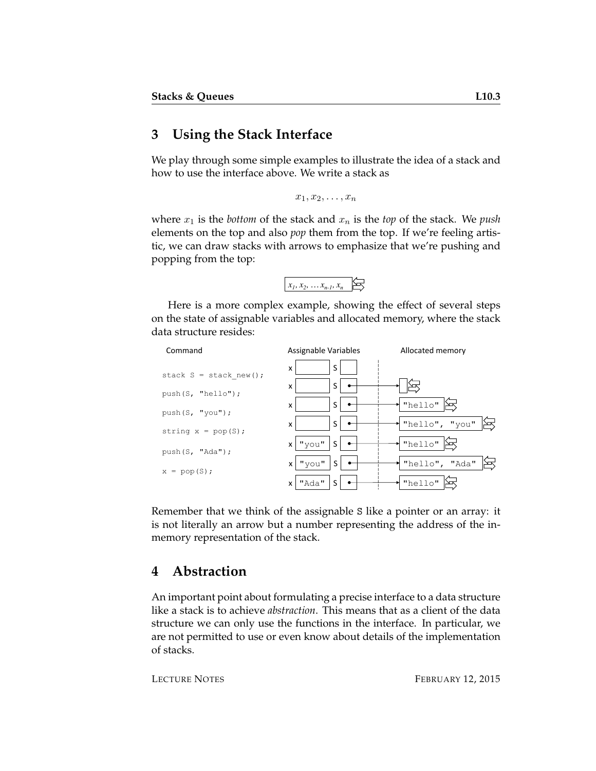#### **3 Using the Stack Interface**

We play through some simple examples to illustrate the idea of a stack and how to use the interface above. We write a stack as

```
x_1, x_2, \ldots, x_n
```
where  $x_1$  is the *bottom* of the stack and  $x_n$  is the *top* of the stack. We *push* elements on the top and also *pop* them from the top. If we're feeling artistic, we can draw stacks with arrows to emphasize that we're pushing and popping from the top:



Here is a more complex example, showing the effect of several steps on the state of assignable variables and allocated memory, where the stack data structure resides:



Remember that we think of the assignable S like a pointer or an array: it is not literally an arrow but a number representing the address of the inmemory representation of the stack.

### **4 Abstraction**

An important point about formulating a precise interface to a data structure like a stack is to achieve *abstraction*. This means that as a client of the data structure we can only use the functions in the interface. In particular, we are not permitted to use or even know about details of the implementation of stacks.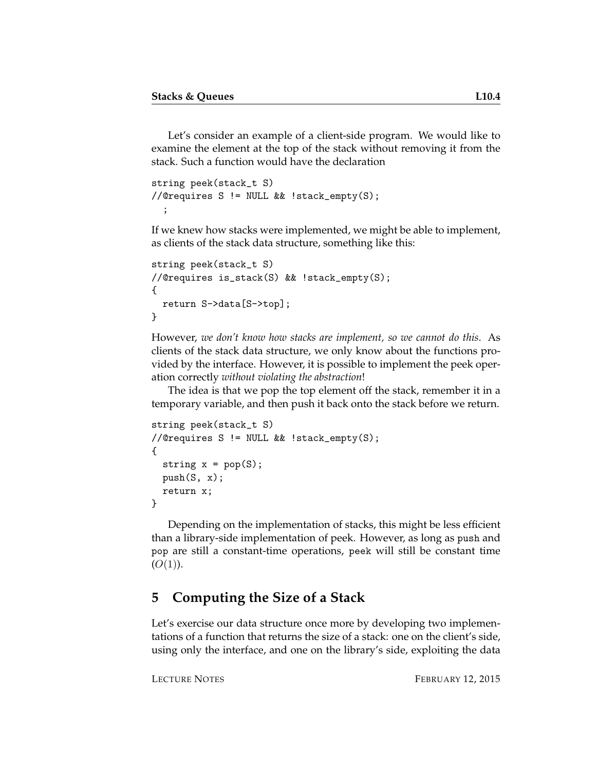Let's consider an example of a client-side program. We would like to examine the element at the top of the stack without removing it from the stack. Such a function would have the declaration

```
string peek(stack_t S)
//@requires S != NULL && !stack_empty(S);
  ;
```
If we knew how stacks were implemented, we might be able to implement, as clients of the stack data structure, something like this:

```
string peek(stack_t S)
//@requires is_stack(S) && !stack_empty(S);
{
  return S->data[S->top];
}
```
However, *we don't know how stacks are implement, so we cannot do this*. As clients of the stack data structure, we only know about the functions provided by the interface. However, it is possible to implement the peek operation correctly *without violating the abstraction*!

The idea is that we pop the top element off the stack, remember it in a temporary variable, and then push it back onto the stack before we return.

```
string peek(stack_t S)
//@requires S != NULL && !stack_empty(S);
{
  string x = pop(S);
 push(S, x);return x;
}
```
Depending on the implementation of stacks, this might be less efficient than a library-side implementation of peek. However, as long as push and pop are still a constant-time operations, peek will still be constant time  $(O(1)).$ 

### **5 Computing the Size of a Stack**

Let's exercise our data structure once more by developing two implementations of a function that returns the size of a stack: one on the client's side, using only the interface, and one on the library's side, exploiting the data

LECTURE NOTES FEBRUARY 12, 2015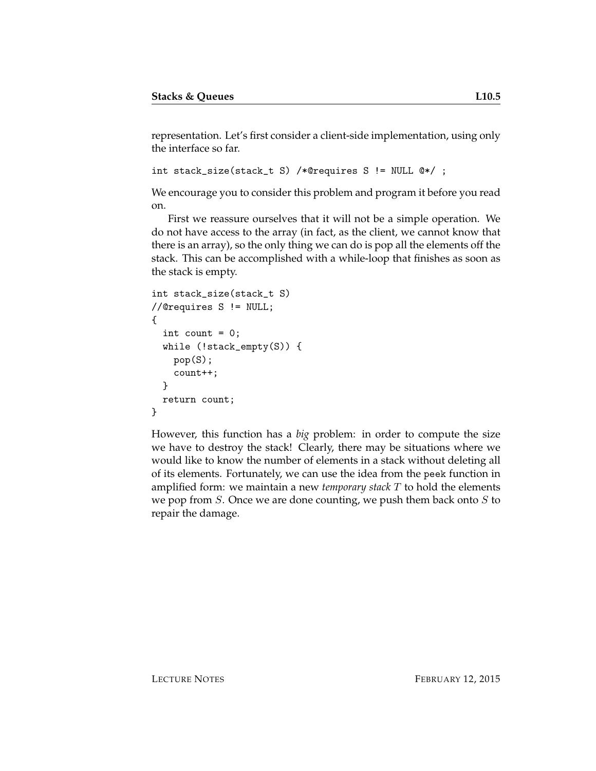representation. Let's first consider a client-side implementation, using only the interface so far.

```
int stack_size(stack_t S) /*@requires S != NULL @*/ ;
```
We encourage you to consider this problem and program it before you read on.

First we reassure ourselves that it will not be a simple operation. We do not have access to the array (in fact, as the client, we cannot know that there is an array), so the only thing we can do is pop all the elements off the stack. This can be accomplished with a while-loop that finishes as soon as the stack is empty.

```
int stack_size(stack_t S)
//@requires S != NULL;
{
  int count = 0;
 while (!stack_empty(S)) {
    pop(S);
    count++;
  }
 return count;
}
```
However, this function has a *big* problem: in order to compute the size we have to destroy the stack! Clearly, there may be situations where we would like to know the number of elements in a stack without deleting all of its elements. Fortunately, we can use the idea from the peek function in amplified form: we maintain a new *temporary stack* T to hold the elements we pop from  $S$ . Once we are done counting, we push them back onto  $S$  to repair the damage.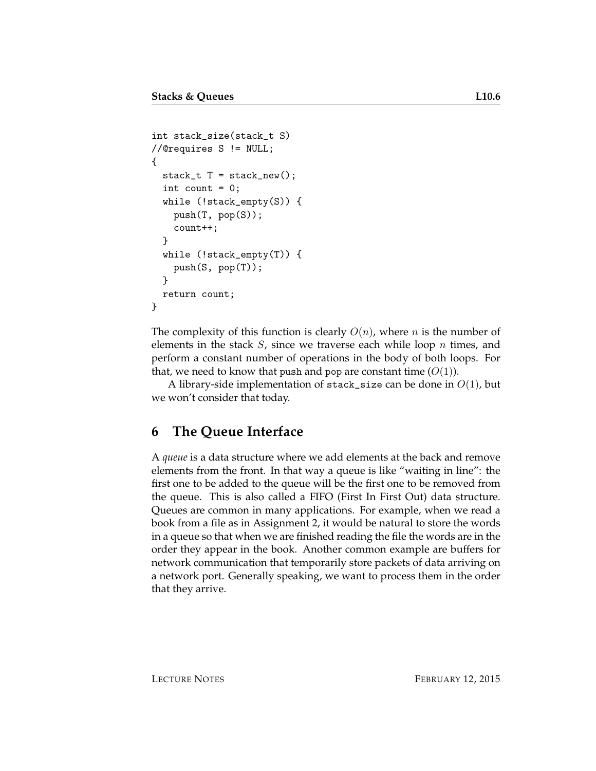```
int stack_size(stack_t S)
//@requires S != NULL;
{
  stack_t T = stack_new();
  int count = 0;
  while (!stack_empty(S)) {
   push(T, pop(S));
    count++;
  }
 while (!stack_empty(T)) {
   push(S, pop(T));
  }
  return count;
}
```
The complexity of this function is clearly  $O(n)$ , where *n* is the number of elements in the stack  $S$ , since we traverse each while loop  $n$  times, and perform a constant number of operations in the body of both loops. For that, we need to know that push and pop are constant time  $(O(1))$ .

A library-side implementation of stack\_size can be done in  $O(1)$ , but we won't consider that today.

### **6 The Queue Interface**

A *queue* is a data structure where we add elements at the back and remove elements from the front. In that way a queue is like "waiting in line": the first one to be added to the queue will be the first one to be removed from the queue. This is also called a FIFO (First In First Out) data structure. Queues are common in many applications. For example, when we read a book from a file as in Assignment 2, it would be natural to store the words in a queue so that when we are finished reading the file the words are in the order they appear in the book. Another common example are buffers for network communication that temporarily store packets of data arriving on a network port. Generally speaking, we want to process them in the order that they arrive.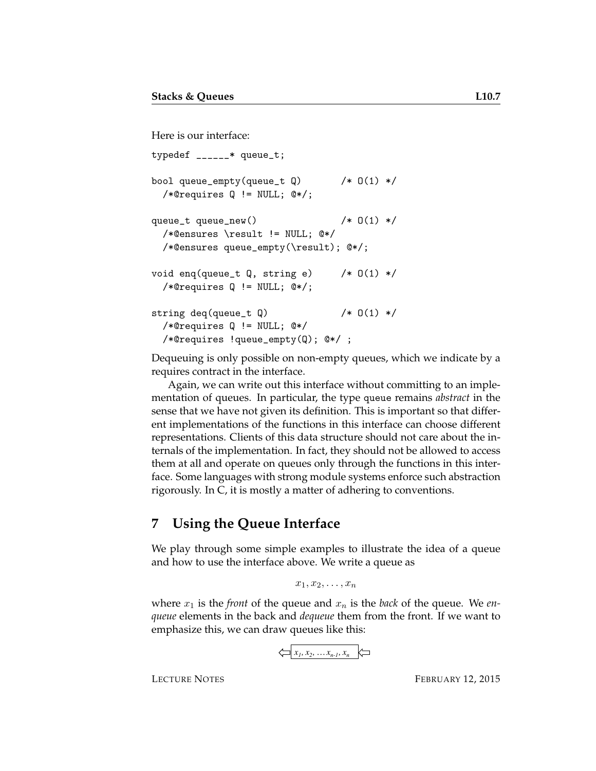```
Here is our interface:
typedef ______* queue_t;
bool queue_empty(queue_t Q) /* 0(1) */
  /*@requires Q != NULL; @*/;
queue_t queue_new() /* 0(1) *//*@ensures \result != NULL; @*/
 /*@ensures queue_empty(\result); @*/;
void enq(queue_t Q, string e) /* 0(1) *//*@requires Q != NULL; @*/;
string deq(queue_t Q) \left( * \right) (1) */
  /*@requires Q != NULL; @*/
 /*@requires !queue_empty(Q); @*/ ;
```
Dequeuing is only possible on non-empty queues, which we indicate by a requires contract in the interface.

Again, we can write out this interface without committing to an implementation of queues. In particular, the type queue remains *abstract* in the sense that we have not given its definition. This is important so that different implementations of the functions in this interface can choose different representations. Clients of this data structure should not care about the internals of the implementation. In fact, they should not be allowed to access them at all and operate on queues only through the functions in this interface. Some languages with strong module systems enforce such abstraction rigorously. In C, it is mostly a matter of adhering to conventions.

#### **7 Using the Queue Interface**

We play through some simple examples to illustrate the idea of a queue and how to use the interface above. We write a queue as

 $x_1, x_2, \ldots, x_n$ 

where  $x_1$  is the *front* of the queue and  $x_n$  is the *back* of the queue. We *enqueue* elements in the back and *dequeue* them from the front. If we want to emphasize this, we can draw queues like this:

$$
\left\langle \square \middle| x_1, x_2, \ldots x_{n-l}, x_n \right\rangle
$$

LECTURE NOTES FEBRUARY 12, 2015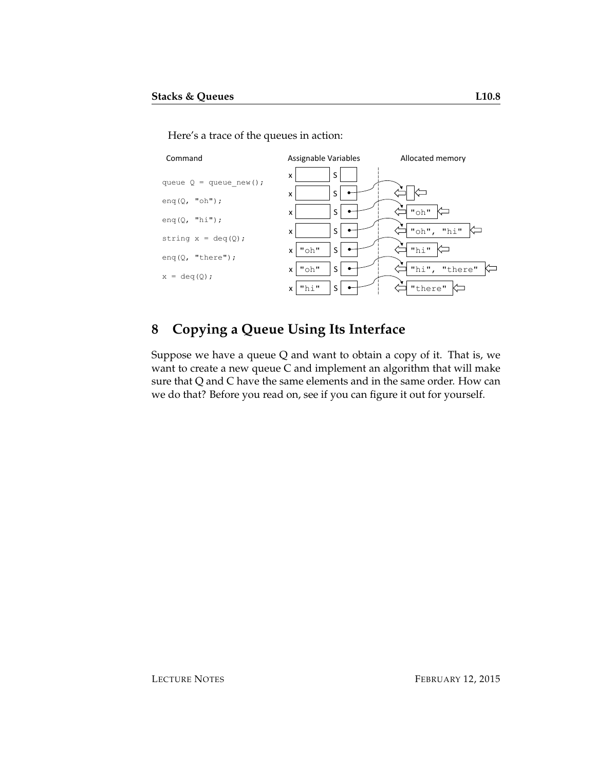Here's a trace of the queues in action:



# **8 Copying a Queue Using Its Interface**

Suppose we have a queue Q and want to obtain a copy of it. That is, we want to create a new queue C and implement an algorithm that will make sure that Q and C have the same elements and in the same order. How can we do that? Before you read on, see if you can figure it out for yourself.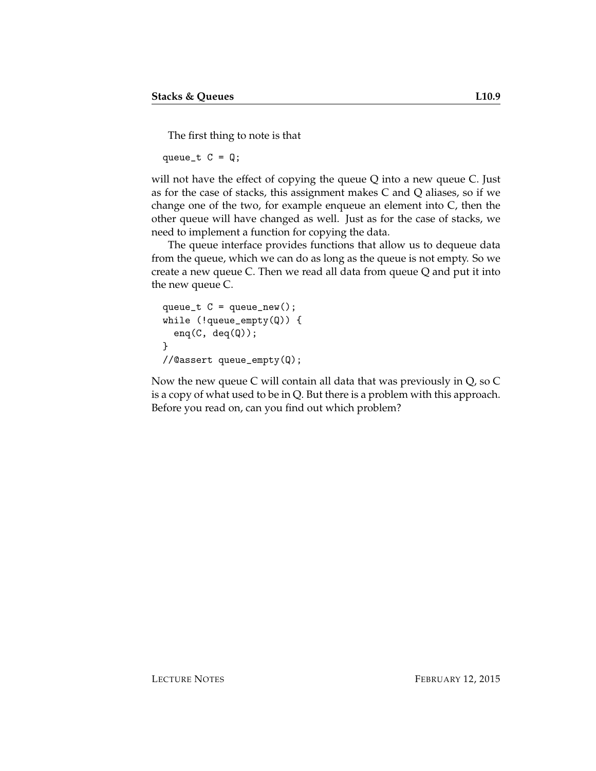The first thing to note is that

queue\_t  $C = Q$ ;

will not have the effect of copying the queue Q into a new queue C. Just as for the case of stacks, this assignment makes C and Q aliases, so if we change one of the two, for example enqueue an element into C, then the other queue will have changed as well. Just as for the case of stacks, we need to implement a function for copying the data.

The queue interface provides functions that allow us to dequeue data from the queue, which we can do as long as the queue is not empty. So we create a new queue C. Then we read all data from queue Q and put it into the new queue C.

```
queue_t C = queue_new();
while (!queue_empty(Q)) {
  eng(C, deg(Q));
}
//@assert queue_empty(Q);
```
Now the new queue C will contain all data that was previously in Q, so C is a copy of what used to be in Q. But there is a problem with this approach. Before you read on, can you find out which problem?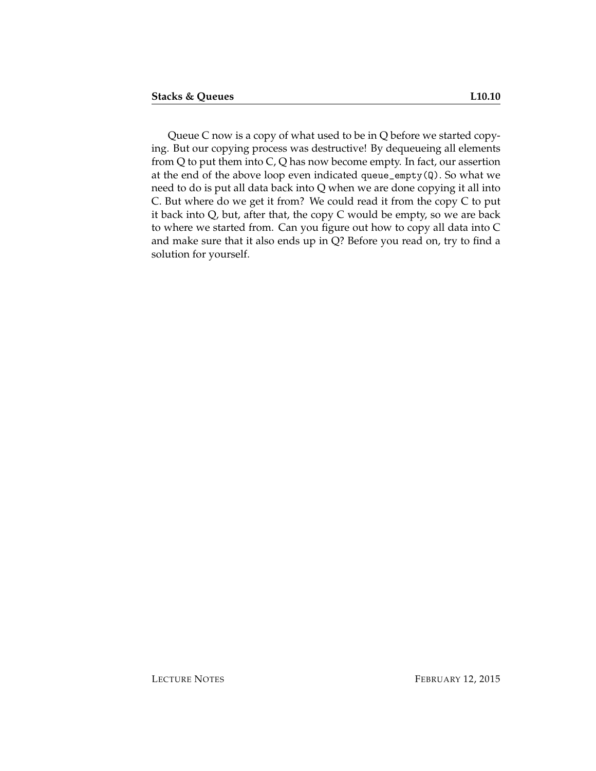Queue C now is a copy of what used to be in Q before we started copying. But our copying process was destructive! By dequeueing all elements from Q to put them into C, Q has now become empty. In fact, our assertion at the end of the above loop even indicated queue\_empty(Q). So what we need to do is put all data back into Q when we are done copying it all into C. But where do we get it from? We could read it from the copy C to put it back into Q, but, after that, the copy C would be empty, so we are back to where we started from. Can you figure out how to copy all data into C and make sure that it also ends up in Q? Before you read on, try to find a solution for yourself.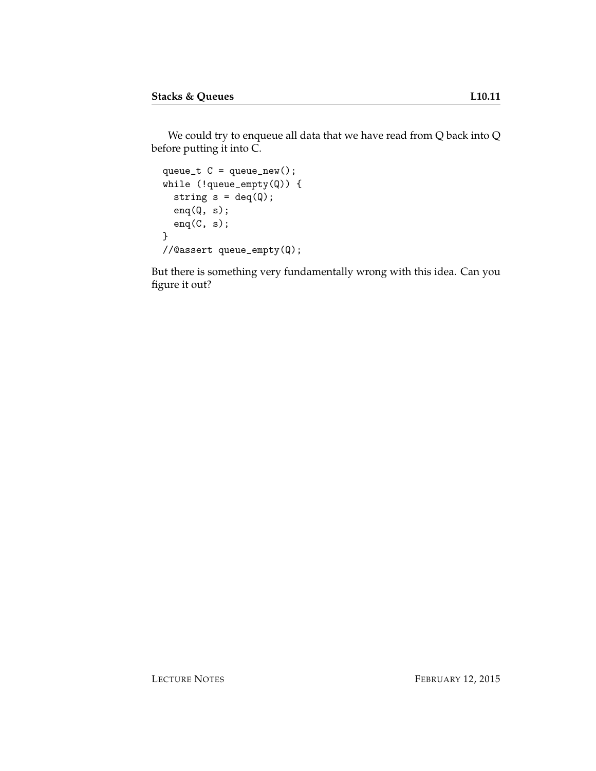```
queue_t C = queue_new();
while (!queue_empty(Q)) {
 string s = deg(Q);
 enq(Q, s);enq(C, s);}
//@assert queue_empty(Q);
```
But there is something very fundamentally wrong with this idea. Can you figure it out?